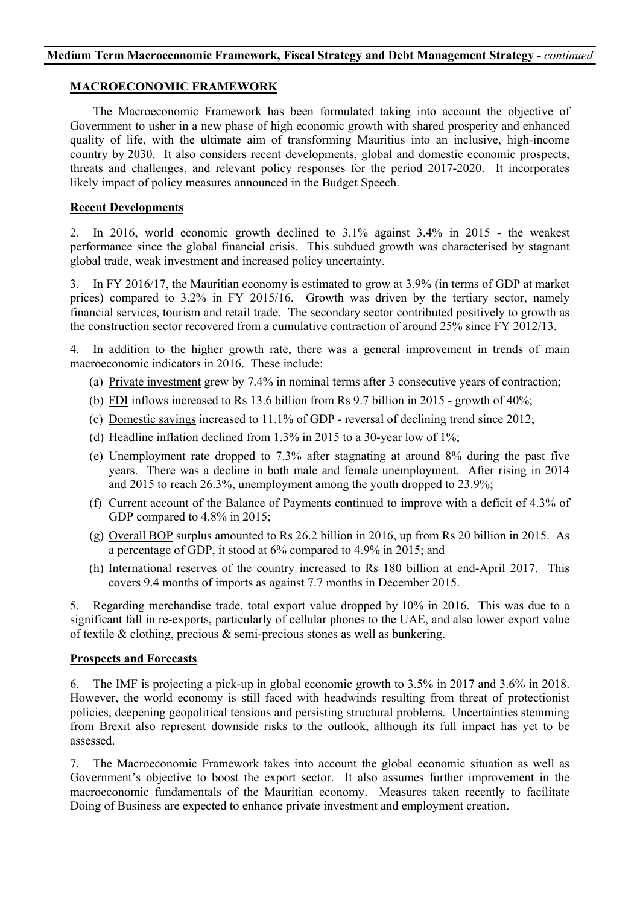### **MACROECONOMIC FRAMEWORK**

The Macroeconomic Framework has been formulated taking into account the objective of Government to usher in a new phase of high economic growth with shared prosperity and enhanced quality of life, with the ultimate aim of transforming Mauritius into an inclusive, high-income country by 2030. It also considers recent developments, global and domestic economic prospects, threats and challenges, and relevant policy responses for the period 2017-2020. It incorporates likely impact of policy measures announced in the Budget Speech.

# **Recent Developments**

2. In 2016, world economic growth declined to 3.1% against 3.4% in 2015 - the weakest performance since the global financial crisis. This subdued growth was characterised by stagnant global trade, weak investment and increased policy uncertainty.

3. In FY 2016/17, the Mauritian economy is estimated to grow at 3.9% (in terms of GDP at market prices) compared to 3.2% in FY 2015/16. Growth was driven by the tertiary sector, namely financial services, tourism and retail trade. The secondary sector contributed positively to growth as the construction sector recovered from a cumulative contraction of around 25% since FY 2012/13.

4. In addition to the higher growth rate, there was a general improvement in trends of main macroeconomic indicators in 2016. These include:

- (a) Private investment grew by 7.4% in nominal terms after 3 consecutive years of contraction;
- (b) FDI inflows increased to Rs 13.6 billion from Rs 9.7 billion in 2015 growth of 40%;
- (c) Domestic savings increased to 11.1% of GDP reversal of declining trend since 2012;
- (d) Headline inflation declined from 1.3% in 2015 to a 30-year low of 1%;
- (e) Unemployment rate dropped to 7.3% after stagnating at around 8% during the past five years. There was a decline in both male and female unemployment. After rising in 2014 and 2015 to reach 26.3%, unemployment among the youth dropped to 23.9%;
- (f) Current account of the Balance of Payments continued to improve with a deficit of 4.3% of GDP compared to 4.8% in 2015;
- (g) Overall BOP surplus amounted to Rs 26.2 billion in 2016, up from Rs 20 billion in 2015. As a percentage of GDP, it stood at 6% compared to 4.9% in 2015; and
- (h) International reserves of the country increased to Rs 180 billion at end-April 2017. This covers 9.4 months of imports as against 7.7 months in December 2015.

5. Regarding merchandise trade, total export value dropped by 10% in 2016. This was due to a significant fall in re-exports, particularly of cellular phones to the UAE, and also lower export value of textile & clothing, precious & semi-precious stones as well as bunkering.

# **Prospects and Forecasts**

6. The IMF is projecting a pick-up in global economic growth to 3.5% in 2017 and 3.6% in 2018. However, the world economy is still faced with headwinds resulting from threat of protectionist policies, deepening geopolitical tensions and persisting structural problems. Uncertainties stemming from Brexit also represent downside risks to the outlook, although its full impact has yet to be assessed.

7. The Macroeconomic Framework takes into account the global economic situation as well as Government's objective to boost the export sector. It also assumes further improvement in the macroeconomic fundamentals of the Mauritian economy. Measures taken recently to facilitate Doing of Business are expected to enhance private investment and employment creation.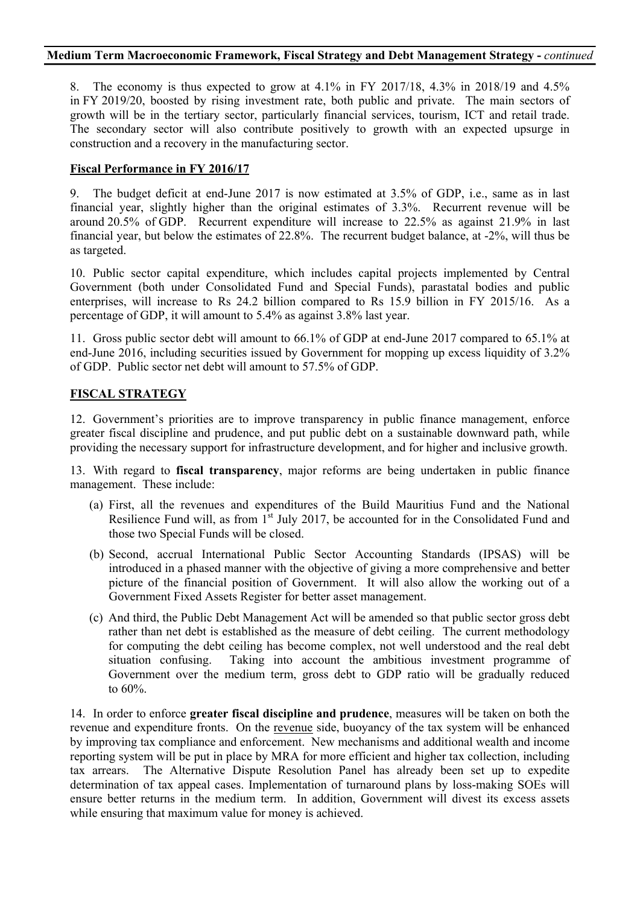8. The economy is thus expected to grow at 4.1% in FY 2017/18, 4.3% in 2018/19 and 4.5% in FY 2019/20, boosted by rising investment rate, both public and private. The main sectors of growth will be in the tertiary sector, particularly financial services, tourism, ICT and retail trade. The secondary sector will also contribute positively to growth with an expected upsurge in construction and a recovery in the manufacturing sector.

# **Fiscal Performance in FY 2016/17**

9. The budget deficit at end-June 2017 is now estimated at 3.5% of GDP, i.e., same as in last financial year, slightly higher than the original estimates of 3.3%. Recurrent revenue will be around 20.5% of GDP. Recurrent expenditure will increase to 22.5% as against 21.9% in last financial year, but below the estimates of 22.8%. The recurrent budget balance, at -2%, will thus be as targeted.

10. Public sector capital expenditure, which includes capital projects implemented by Central Government (both under Consolidated Fund and Special Funds), parastatal bodies and public enterprises, will increase to Rs 24.2 billion compared to Rs 15.9 billion in FY 2015/16. As a percentage of GDP, it will amount to 5.4% as against 3.8% last year.

11. Gross public sector debt will amount to 66.1% of GDP at end-June 2017 compared to 65.1% at end-June 2016, including securities issued by Government for mopping up excess liquidity of 3.2% of GDP. Public sector net debt will amount to 57.5% of GDP.

# **FISCAL STRATEGY**

12. Government's priorities are to improve transparency in public finance management, enforce greater fiscal discipline and prudence, and put public debt on a sustainable downward path, while providing the necessary support for infrastructure development, and for higher and inclusive growth.

13. With regard to **fiscal transparency**, major reforms are being undertaken in public finance management. These include:

- (a) First, all the revenues and expenditures of the Build Mauritius Fund and the National Resilience Fund will, as from  $1<sup>st</sup>$  July 2017, be accounted for in the Consolidated Fund and those two Special Funds will be closed.
- (b) Second, accrual International Public Sector Accounting Standards (IPSAS) will be introduced in a phased manner with the objective of giving a more comprehensive and better picture of the financial position of Government. It will also allow the working out of a Government Fixed Assets Register for better asset management.
- (c) And third, the Public Debt Management Act will be amended so that public sector gross debt rather than net debt is established as the measure of debt ceiling. The current methodology for computing the debt ceiling has become complex, not well understood and the real debt situation confusing. Taking into account the ambitious investment programme of Government over the medium term, gross debt to GDP ratio will be gradually reduced to 60%.

14. In order to enforce **greater fiscal discipline and prudence**, measures will be taken on both the revenue and expenditure fronts. On the revenue side, buoyancy of the tax system will be enhanced by improving tax compliance and enforcement. New mechanisms and additional wealth and income reporting system will be put in place by MRA for more efficient and higher tax collection, including tax arrears. The Alternative Dispute Resolution Panel has already been set up to expedite determination of tax appeal cases. Implementation of turnaround plans by loss-making SOEs will ensure better returns in the medium term. In addition, Government will divest its excess assets while ensuring that maximum value for money is achieved.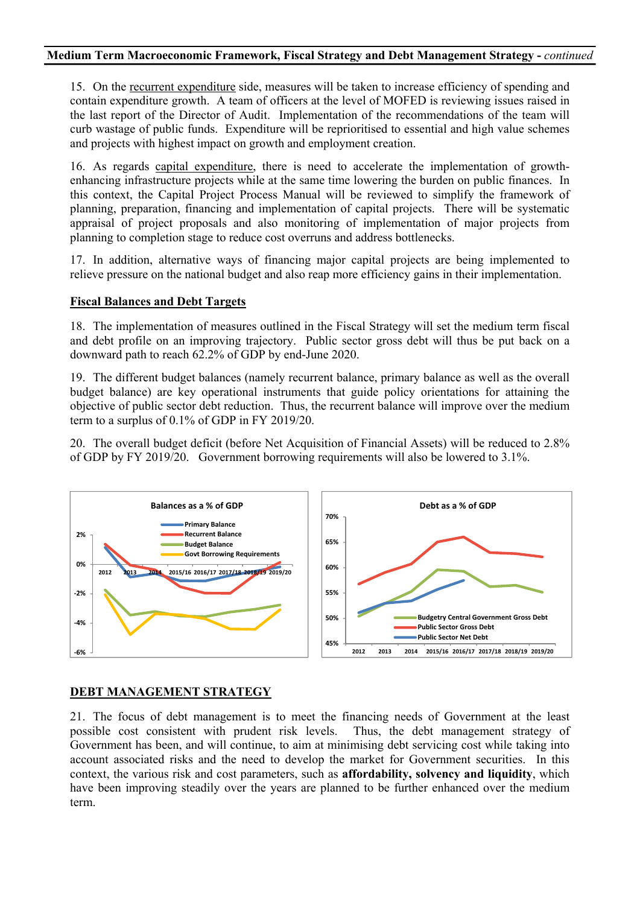15. On the recurrent expenditure side, measures will be taken to increase efficiency of spending and contain expenditure growth. A team of officers at the level of MOFED is reviewing issues raised in the last report of the Director of Audit. Implementation of the recommendations of the team will curb wastage of public funds. Expenditure will be reprioritised to essential and high value schemes and projects with highest impact on growth and employment creation.

16. As regards capital expenditure, there is need to accelerate the implementation of growthenhancing infrastructure projects while at the same time lowering the burden on public finances. In this context, the Capital Project Process Manual will be reviewed to simplify the framework of planning, preparation, financing and implementation of capital projects. There will be systematic appraisal of project proposals and also monitoring of implementation of major projects from planning to completion stage to reduce cost overruns and address bottlenecks.

17. In addition, alternative ways of financing major capital projects are being implemented to relieve pressure on the national budget and also reap more efficiency gains in their implementation.

#### **Fiscal Balances and Debt Targets**

18. The implementation of measures outlined in the Fiscal Strategy will set the medium term fiscal and debt profile on an improving trajectory. Public sector gross debt will thus be put back on a downward path to reach 62.2% of GDP by end-June 2020.

19. The different budget balances (namely recurrent balance, primary balance as well as the overall budget balance) are key operational instruments that guide policy orientations for attaining the objective of public sector debt reduction. Thus, the recurrent balance will improve over the medium term to a surplus of 0.1% of GDP in FY 2019/20.

20. The overall budget deficit (before Net Acquisition of Financial Assets) will be reduced to 2.8% of GDP by FY 2019/20. Government borrowing requirements will also be lowered to 3.1%.



### **DEBT MANAGEMENT STRATEGY**

21. The focus of debt management is to meet the financing needs of Government at the least possible cost consistent with prudent risk levels. Thus, the debt management strategy of Government has been, and will continue, to aim at minimising debt servicing cost while taking into account associated risks and the need to develop the market for Government securities. In this context, the various risk and cost parameters, such as **affordability, solvency and liquidity**, which have been improving steadily over the years are planned to be further enhanced over the medium term.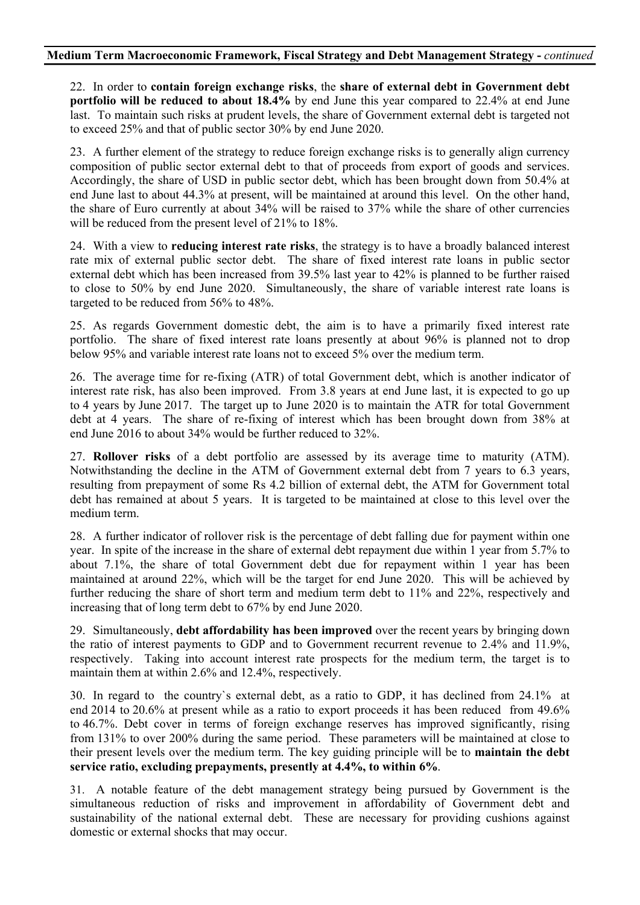22. In order to **contain foreign exchange risks**, the **share of external debt in Government debt portfolio will be reduced to about 18.4%** by end June this year compared to 22.4% at end June last. To maintain such risks at prudent levels, the share of Government external debt is targeted not to exceed 25% and that of public sector 30% by end June 2020.

23. A further element of the strategy to reduce foreign exchange risks is to generally align currency composition of public sector external debt to that of proceeds from export of goods and services. Accordingly, the share of USD in public sector debt, which has been brought down from 50.4% at end June last to about 44.3% at present, will be maintained at around this level. On the other hand, the share of Euro currently at about 34% will be raised to 37% while the share of other currencies will be reduced from the present level of 21% to 18%.

24. With a view to **reducing interest rate risks**, the strategy is to have a broadly balanced interest rate mix of external public sector debt. The share of fixed interest rate loans in public sector external debt which has been increased from 39.5% last year to 42% is planned to be further raised to close to 50% by end June 2020. Simultaneously, the share of variable interest rate loans is targeted to be reduced from 56% to 48%.

25. As regards Government domestic debt, the aim is to have a primarily fixed interest rate portfolio. The share of fixed interest rate loans presently at about 96% is planned not to drop below 95% and variable interest rate loans not to exceed 5% over the medium term.

26. The average time for re-fixing (ATR) of total Government debt, which is another indicator of interest rate risk, has also been improved. From 3.8 years at end June last, it is expected to go up to 4 years by June 2017. The target up to June 2020 is to maintain the ATR for total Government debt at 4 years. The share of re-fixing of interest which has been brought down from 38% at end June 2016 to about 34% would be further reduced to 32%.

27. **Rollover risks** of a debt portfolio are assessed by its average time to maturity (ATM). Notwithstanding the decline in the ATM of Government external debt from 7 years to 6.3 years, resulting from prepayment of some Rs 4.2 billion of external debt, the ATM for Government total debt has remained at about 5 years. It is targeted to be maintained at close to this level over the medium term.

28. A further indicator of rollover risk is the percentage of debt falling due for payment within one year. In spite of the increase in the share of external debt repayment due within 1 year from 5.7% to about 7.1%, the share of total Government debt due for repayment within 1 year has been maintained at around 22%, which will be the target for end June 2020. This will be achieved by further reducing the share of short term and medium term debt to 11% and 22%, respectively and increasing that of long term debt to 67% by end June 2020.

29. Simultaneously, **debt affordability has been improved** over the recent years by bringing down the ratio of interest payments to GDP and to Government recurrent revenue to 2.4% and 11.9%, respectively. Taking into account interest rate prospects for the medium term, the target is to maintain them at within 2.6% and 12.4%, respectively.

30. In regard to the country`s external debt, as a ratio to GDP, it has declined from 24.1% at end 2014 to 20.6% at present while as a ratio to export proceeds it has been reduced from 49.6% to 46.7%. Debt cover in terms of foreign exchange reserves has improved significantly, rising from 131% to over 200% during the same period. These parameters will be maintained at close to their present levels over the medium term. The key guiding principle will be to **maintain the debt service ratio, excluding prepayments, presently at 4.4%, to within 6%**.

31. A notable feature of the debt management strategy being pursued by Government is the simultaneous reduction of risks and improvement in affordability of Government debt and sustainability of the national external debt. These are necessary for providing cushions against domestic or external shocks that may occur.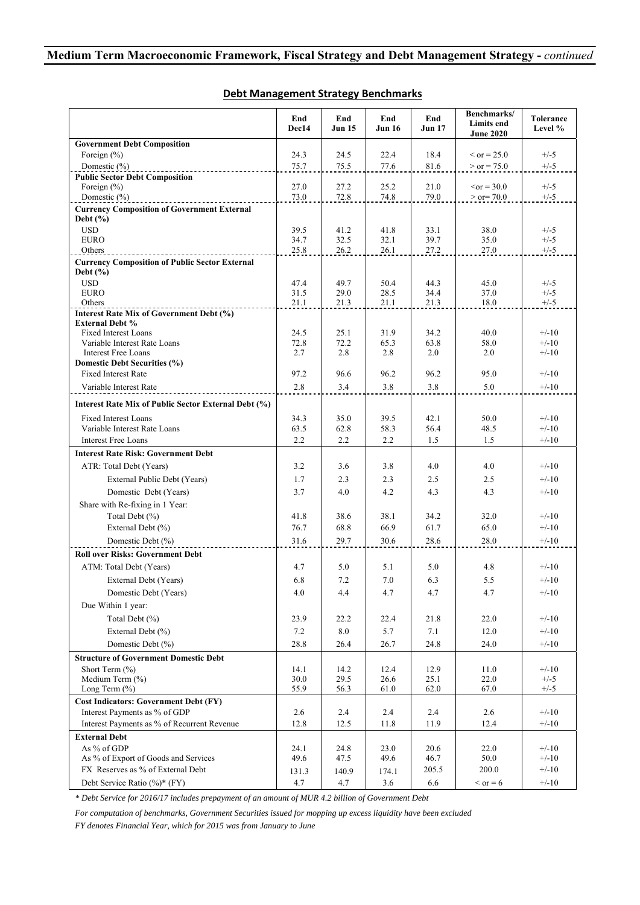|                                                                    | End<br>Dec14 | End<br><b>Jun 15</b> | End<br><b>Jun 16</b> | End<br><b>Jun 17</b> | Benchmarks/<br>Limits end<br><b>June 2020</b> | Tolerance<br>Level % |
|--------------------------------------------------------------------|--------------|----------------------|----------------------|----------------------|-----------------------------------------------|----------------------|
| <b>Government Debt Composition</b>                                 |              |                      |                      |                      |                                               |                      |
| Foreign $(\% )$                                                    | 24.3         | 24.5                 | 22.4                 | 18.4                 | $\rm < or = 25.0$                             | $+/-5$               |
| Domestic $(\%)$                                                    | 75.7         | 75.5                 | 77.6                 | 81.6                 | $>$ or = 75.0                                 | $+/-5$               |
| <b>Public Sector Debt Composition</b>                              |              |                      |                      |                      |                                               |                      |
| Foreign $(\% )$                                                    | 27.0         | 27.2                 | 25.2                 | 21.0                 | $\leq$ or = 30.0                              | $+/-5$               |
| Domestic $(\% )$                                                   | 73.0         | 72.8                 | 74.8                 | 79.0                 | $>$ or $= 70.0$                               | $+/-5$               |
| <b>Currency Composition of Government External</b><br>Debt $(\% )$ |              |                      |                      |                      |                                               |                      |
| <b>USD</b>                                                         | 39.5         | 41.2                 | 41.8                 | 33.1                 | 38.0                                          | $+/-5$               |
| <b>EURO</b>                                                        | 34.7         | 32.5                 | 32.1                 | 39.7                 | 35.0                                          | $+/-5$               |
| Others                                                             | 25.8         | 26.2                 | 26.1                 | 27.2                 | 27.0                                          | $+/-5$               |
| <b>Currency Composition of Public Sector External</b>              |              |                      |                      |                      |                                               |                      |
| Debt $(\% )$                                                       |              |                      |                      |                      |                                               |                      |
| <b>USD</b>                                                         | 47.4         | 49.7                 | 50.4<br>28.5         | 44.3                 | 45.0                                          | $+/-5$               |
| <b>EURO</b><br>Others                                              | 31.5<br>21.1 | 29.0<br>21.3         | 21.1                 | 34.4<br>21.3         | 37.0<br>18.0                                  | $+/-5$<br>$+/-5$     |
| Interest Rate Mix of Government Debt (%)                           |              |                      |                      |                      |                                               |                      |
| <b>External Debt %</b>                                             |              |                      |                      |                      |                                               |                      |
| <b>Fixed Interest Loans</b>                                        | 24.5         | 25.1                 | 31.9                 | 34.2                 | 40.0                                          | $+/-10$              |
| Variable Interest Rate Loans                                       | 72.8         | 72.2                 | 65.3                 | 63.8                 | 58.0                                          | $+/-10$              |
| <b>Interest Free Loans</b>                                         | 2.7          | 2.8                  | 2.8                  | 2.0                  | 2.0                                           | $+/-10$              |
| Domestic Debt Securities (%)                                       |              |                      |                      |                      |                                               |                      |
| <b>Fixed Interest Rate</b>                                         | 97.2         | 96.6                 | 96.2                 | 96.2                 | 95.0                                          | $+/-10$              |
| Variable Interest Rate                                             | 2.8          | 3.4                  | 3.8                  | 3.8                  | 5.0                                           | $+/-10$              |
| Interest Rate Mix of Public Sector External Debt (%)               |              |                      |                      |                      |                                               |                      |
| <b>Fixed Interest Loans</b>                                        | 34.3         | 35.0                 | 39.5                 | 42.1                 | 50.0                                          | $+/-10$              |
| Variable Interest Rate Loans                                       | 63.5         | 62.8                 | 58.3                 | 56.4                 | 48.5                                          | $+/-10$              |
| <b>Interest Free Loans</b>                                         | 2.2          | 2.2                  | 2.2                  | 1.5                  | 1.5                                           | $+/-10$              |
| <b>Interest Rate Risk: Government Debt</b>                         |              |                      |                      |                      |                                               |                      |
| ATR: Total Debt (Years)                                            | 3.2          | 3.6                  | 3.8                  | 4.0                  | 4.0                                           | $+/-10$              |
| External Public Debt (Years)                                       | 1.7          | 2.3                  | 2.3                  | 2.5                  | 2.5                                           | $+/-10$              |
| Domestic Debt (Years)                                              | 3.7          | 4.0                  | 4.2                  | 4.3                  | 4.3                                           | $+/-10$              |
| Share with Re-fixing in 1 Year:                                    |              |                      |                      |                      |                                               |                      |
| Total Debt (%)                                                     | 41.8         | 38.6                 | 38.1                 | 34.2                 | 32.0                                          | $+/-10$              |
| External Debt (%)                                                  | 76.7         | 68.8                 | 66.9                 | 61.7                 | 65.0                                          | $+/-10$              |
|                                                                    |              |                      |                      |                      |                                               |                      |
| Domestic Debt (%)                                                  | 31.6         | 29.7                 | 30.6                 | 28.6                 | 28.0                                          | $+/-10$              |
| <b>Roll over Risks: Government Debt</b>                            |              |                      |                      |                      |                                               |                      |
| ATM: Total Debt (Years)                                            | 4.7          | 5.0                  | 5.1                  | 5.0                  | 4.8                                           | $+/-10$              |
| External Debt (Years)                                              | 6.8          | 7.2                  | 7.0                  | 6.3                  | 5.5                                           | $+/-10$              |
| Domestic Debt (Years)                                              | 4.0          | 4.4                  | 4.7                  | 4.7                  | 4.7                                           | $+/-10$              |
| Due Within 1 year:                                                 |              |                      |                      |                      |                                               |                      |
| Total Debt (%)                                                     | 23.9         | 22.2                 | 22.4                 | 21.8                 | 22.0                                          | $+/-10$              |
| External Debt (%)                                                  | 7.2          | 8.0                  | 5.7                  | 7.1                  | 12.0                                          | $+/-10$              |
| Domestic Debt (%)                                                  | 28.8         | 26.4                 | 26.7                 | 24.8                 | 24.0                                          | $+/-10$              |
| <b>Structure of Government Domestic Debt</b>                       |              |                      |                      |                      |                                               |                      |
| Short Term (%)                                                     | 14.1         | 14.2                 | 12.4                 | 12.9                 | 11.0                                          | $+/-10$              |
| Medium Term (%)                                                    | 30.0         | 29.5                 | 26.6                 | 25.1                 | 22.0                                          | $+/-5$               |
| Long Term (%)                                                      | 55.9         | 56.3                 | 61.0                 | 62.0                 | 67.0                                          | $+/-5$               |
| <b>Cost Indicators: Government Debt (FY)</b>                       |              |                      |                      |                      |                                               |                      |
| Interest Payments as % of GDP                                      | 2.6          | 2.4                  | 2.4                  | 2.4                  | 2.6                                           | $+/-10$              |
| Interest Payments as % of Recurrent Revenue                        | 12.8         | 12.5                 | 11.8                 | 11.9                 | 12.4                                          | $+/-10$              |
| <b>External Debt</b>                                               |              |                      |                      |                      |                                               |                      |
| As % of GDP                                                        | 24.1         | 24.8                 | 23.0                 | 20.6                 | 22.0                                          | $+/-10$              |
| As % of Export of Goods and Services                               | 49.6         | 47.5                 | 49.6                 | 46.7                 | 50.0                                          | $+/-10$              |
| FX Reserves as % of External Debt                                  | 131.3        | 140.9                | 174.1                | 205.5                | 200.0                                         | $+/-10$              |
| Debt Service Ratio (%)* (FY)                                       | 4.7          | 4.7                  | 3.6                  | 6.6                  | $\le$ or = 6                                  | $+/-10$              |

#### **Debt Management Strategy Benchmarks**

*\* Debt Service for 2016/17 includes prepayment of an amount of MUR 4.2 billion of Government Debt* 

*For computation of benchmarks, Government Securities issued for mopping up excess liquidity have been excluded FY denotes Financial Year, which for 2015 was from January to June*